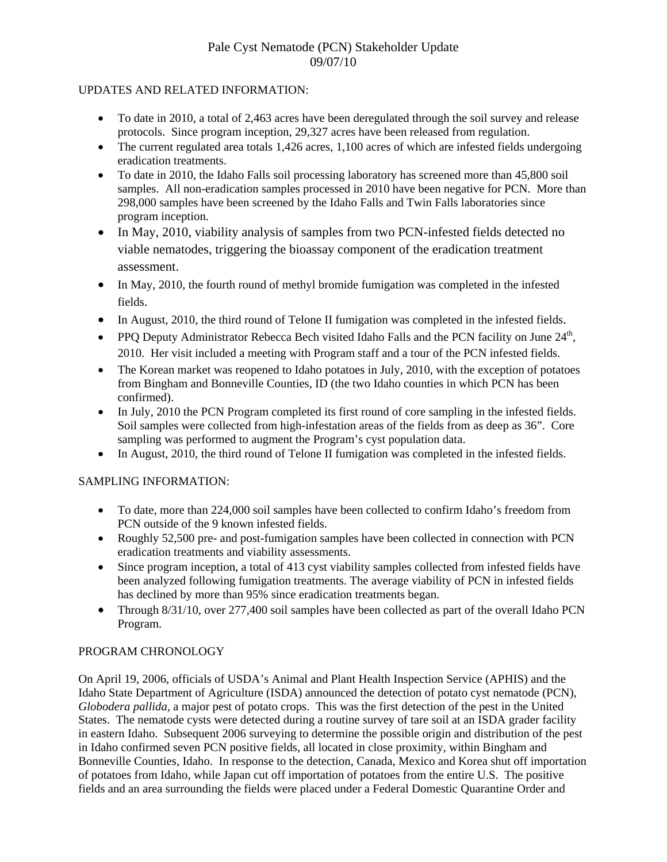# Pale Cyst Nematode (PCN) Stakeholder Update 09/07/10

### UPDATES AND RELATED INFORMATION:

- To date in 2010, a total of 2,463 acres have been deregulated through the soil survey and release protocols. Since program inception, 29,327 acres have been released from regulation.
- The current regulated area totals 1,426 acres, 1,100 acres of which are infested fields undergoing eradication treatments.
- To date in 2010, the Idaho Falls soil processing laboratory has screened more than 45,800 soil samples. All non-eradication samples processed in 2010 have been negative for PCN. More than 298,000 samples have been screened by the Idaho Falls and Twin Falls laboratories since program inception.
- In May, 2010, viability analysis of samples from two PCN-infested fields detected no viable nematodes, triggering the bioassay component of the eradication treatment assessment.
- In May, 2010, the fourth round of methyl bromide fumigation was completed in the infested fields.
- In August, 2010, the third round of Telone II fumigation was completed in the infested fields.
- PPQ Deputy Administrator Rebecca Bech visited Idaho Falls and the PCN facility on June  $24<sup>th</sup>$ , 2010. Her visit included a meeting with Program staff and a tour of the PCN infested fields.
- The Korean market was reopened to Idaho potatoes in July, 2010, with the exception of potatoes from Bingham and Bonneville Counties, ID (the two Idaho counties in which PCN has been confirmed).
- In July, 2010 the PCN Program completed its first round of core sampling in the infested fields. Soil samples were collected from high-infestation areas of the fields from as deep as 36". Core sampling was performed to augment the Program's cyst population data.
- In August, 2010, the third round of Telone II fumigation was completed in the infested fields.

## SAMPLING INFORMATION:

- To date, more than 224,000 soil samples have been collected to confirm Idaho's freedom from PCN outside of the 9 known infested fields.
- Roughly 52,500 pre- and post-fumigation samples have been collected in connection with PCN eradication treatments and viability assessments.
- Since program inception, a total of 413 cyst viability samples collected from infested fields have been analyzed following fumigation treatments. The average viability of PCN in infested fields has declined by more than 95% since eradication treatments began.
- Through 8/31/10, over 277,400 soil samples have been collected as part of the overall Idaho PCN Program.

## PROGRAM CHRONOLOGY

On April 19, 2006, officials of USDA's Animal and Plant Health Inspection Service (APHIS) and the Idaho State Department of Agriculture (ISDA) announced the detection of potato cyst nematode (PCN), *Globodera pallida*, a major pest of potato crops. This was the first detection of the pest in the United States. The nematode cysts were detected during a routine survey of tare soil at an ISDA grader facility in eastern Idaho. Subsequent 2006 surveying to determine the possible origin and distribution of the pest in Idaho confirmed seven PCN positive fields, all located in close proximity, within Bingham and Bonneville Counties, Idaho. In response to the detection, Canada, Mexico and Korea shut off importation of potatoes from Idaho, while Japan cut off importation of potatoes from the entire U.S. The positive fields and an area surrounding the fields were placed under a Federal Domestic Quarantine Order and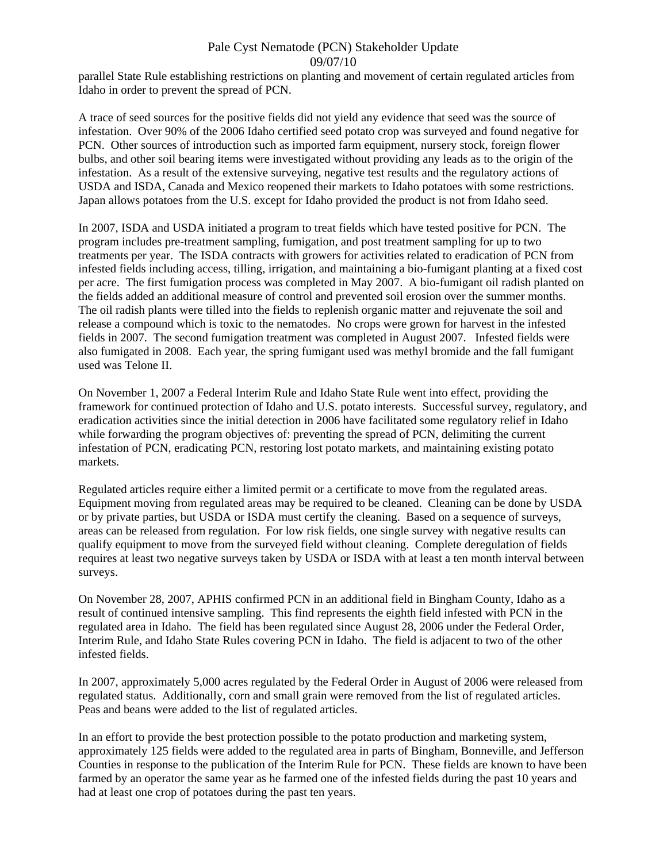#### Pale Cyst Nematode (PCN) Stakeholder Update 09/07/10

parallel State Rule establishing restrictions on planting and movement of certain regulated articles from Idaho in order to prevent the spread of PCN.

A trace of seed sources for the positive fields did not yield any evidence that seed was the source of infestation. Over 90% of the 2006 Idaho certified seed potato crop was surveyed and found negative for PCN. Other sources of introduction such as imported farm equipment, nursery stock, foreign flower bulbs, and other soil bearing items were investigated without providing any leads as to the origin of the infestation. As a result of the extensive surveying, negative test results and the regulatory actions of USDA and ISDA, Canada and Mexico reopened their markets to Idaho potatoes with some restrictions. Japan allows potatoes from the U.S. except for Idaho provided the product is not from Idaho seed.

In 2007, ISDA and USDA initiated a program to treat fields which have tested positive for PCN. The program includes pre-treatment sampling, fumigation, and post treatment sampling for up to two treatments per year. The ISDA contracts with growers for activities related to eradication of PCN from infested fields including access, tilling, irrigation, and maintaining a bio-fumigant planting at a fixed cost per acre. The first fumigation process was completed in May 2007. A bio-fumigant oil radish planted on the fields added an additional measure of control and prevented soil erosion over the summer months. The oil radish plants were tilled into the fields to replenish organic matter and rejuvenate the soil and release a compound which is toxic to the nematodes. No crops were grown for harvest in the infested fields in 2007. The second fumigation treatment was completed in August 2007. Infested fields were also fumigated in 2008. Each year, the spring fumigant used was methyl bromide and the fall fumigant used was Telone II.

On November 1, 2007 a Federal Interim Rule and Idaho State Rule went into effect, providing the framework for continued protection of Idaho and U.S. potato interests. Successful survey, regulatory, and eradication activities since the initial detection in 2006 have facilitated some regulatory relief in Idaho while forwarding the program objectives of: preventing the spread of PCN, delimiting the current infestation of PCN, eradicating PCN, restoring lost potato markets, and maintaining existing potato markets.

Regulated articles require either a limited permit or a certificate to move from the regulated areas. Equipment moving from regulated areas may be required to be cleaned. Cleaning can be done by USDA or by private parties, but USDA or ISDA must certify the cleaning. Based on a sequence of surveys, areas can be released from regulation. For low risk fields, one single survey with negative results can qualify equipment to move from the surveyed field without cleaning. Complete deregulation of fields requires at least two negative surveys taken by USDA or ISDA with at least a ten month interval between surveys.

On November 28, 2007, APHIS confirmed PCN in an additional field in Bingham County, Idaho as a result of continued intensive sampling. This find represents the eighth field infested with PCN in the regulated area in Idaho. The field has been regulated since August 28, 2006 under the Federal Order, Interim Rule, and Idaho State Rules covering PCN in Idaho. The field is adjacent to two of the other infested fields.

In 2007, approximately 5,000 acres regulated by the Federal Order in August of 2006 were released from regulated status. Additionally, corn and small grain were removed from the list of regulated articles. Peas and beans were added to the list of regulated articles.

In an effort to provide the best protection possible to the potato production and marketing system, approximately 125 fields were added to the regulated area in parts of Bingham, Bonneville, and Jefferson Counties in response to the publication of the Interim Rule for PCN. These fields are known to have been farmed by an operator the same year as he farmed one of the infested fields during the past 10 years and had at least one crop of potatoes during the past ten years.